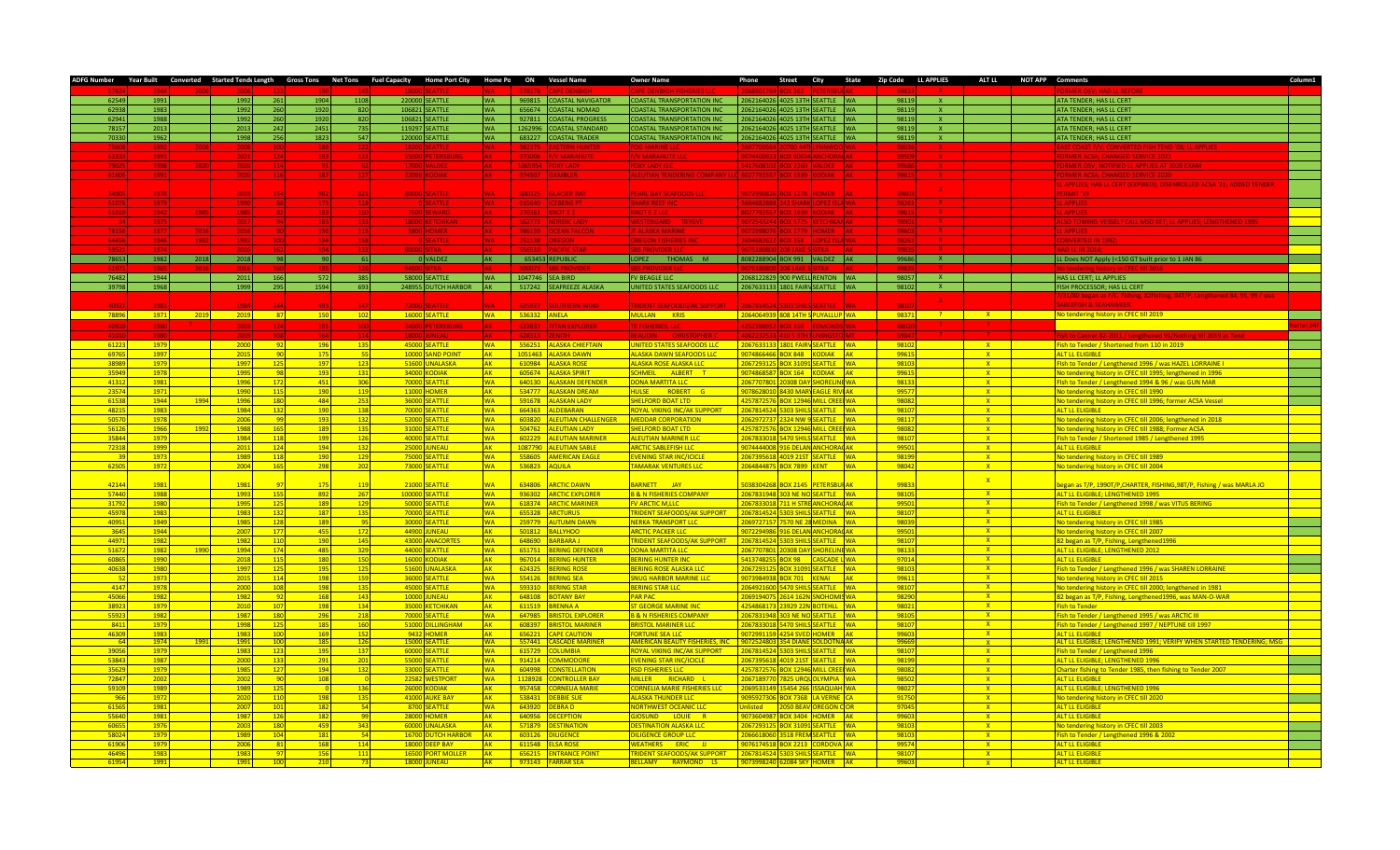| <b>ADFG Number</b> |                  |      |              |                           |                   |                 |          | Year Built Converted Started Tendi Length Gross Tons Net Tons Fuel Capacity Home Port City Home Po ON Vessel Name |            |                  |                                           | <b>Owner Name</b>                                                       | Phone          |                                           |                           |           |              | Street City State Zip Code LL APPLIES ALT LL NOT APP Comments |                   |                                                                                                           | Column1 |
|--------------------|------------------|------|--------------|---------------------------|-------------------|-----------------|----------|-------------------------------------------------------------------------------------------------------------------|------------|------------------|-------------------------------------------|-------------------------------------------------------------------------|----------------|-------------------------------------------|---------------------------|-----------|--------------|---------------------------------------------------------------|-------------------|-----------------------------------------------------------------------------------------------------------|---------|
|                    |                  |      |              |                           |                   |                 |          |                                                                                                                   |            |                  |                                           |                                                                         |                |                                           |                           |           |              |                                                               |                   |                                                                                                           |         |
| 6254               | 1991             |      | 1992         | 261                       | 1904              | 1108            |          | 220000 SEATTLE                                                                                                    |            |                  | 969815 COASTAL NAVIGATOR                  | <b>COASTAL TRANSPORTATION INC</b>                                       | 2062164026     | 1025 13TH SEATTLE WA                      |                           |           | 98119        |                                                               |                   | ATA TENDER: HAS LL CERT                                                                                   |         |
| 62938              | 1983             |      | 1992         | 260                       | 1920              | 820             |          | 106821 SEATTLE                                                                                                    |            | 656674           | <b>COASTAL NOMAD</b>                      | <b>OASTAL TRANSPORTATION INC</b>                                        | 206216402      | 025 13TH SEATTLE WA                       |                           |           | 98119        |                                                               |                   | ATA TENDER; HAS LL CERT                                                                                   |         |
| 62941              | 1988             |      | 1992         | 260                       | 1920              | 820             |          | 106821 SEATTLE                                                                                                    | <b>WA</b>  | 927811           | <b>OASTAL PROGRESS</b>                    | COASTAL TRANSPORTATION INC                                              | 206216402      | 025 13TH SEATTLE WA                       |                           |           | 98119        | <b>X</b>                                                      |                   | ATA TENDER; HAS LL CERT                                                                                   |         |
| 7815               | 2013             |      | 2013         | 242                       | 2451              | 735             |          | 119297 SEATTLE                                                                                                    |            | 1262996          | <b>OASTAL STANDARD</b>                    | COASTAL TRANSPORTATION INC                                              | 206216402      | 025 13TH SEATTLE WA                       |                           |           | 9811         | x                                                             |                   | ATA TENDER; HAS LL CERT                                                                                   |         |
| 7033               | 1962             |      | 1998         | 256                       | 1823              | 547             |          | 120000 SEATTLE                                                                                                    |            |                  | 683227 COASTAL TRADER                     | COASTAL TRANSPORTATION INC                                              | 2062164026     | 025 13TH SEATTLE WA                       |                           |           | 98119        | $\mathbf{x}$                                                  |                   | ATA TENDER; HAS LL CERT                                                                                   |         |
|                    |                  |      |              |                           |                   |                 |          |                                                                                                                   |            |                  |                                           |                                                                         |                |                                           |                           |           |              |                                                               |                   |                                                                                                           |         |
|                    |                  |      |              |                           |                   |                 |          |                                                                                                                   |            |                  |                                           |                                                                         |                |                                           |                           |           |              |                                                               |                   |                                                                                                           |         |
|                    |                  |      |              |                           |                   |                 |          |                                                                                                                   |            |                  |                                           |                                                                         |                |                                           |                           |           |              |                                                               |                   |                                                                                                           |         |
|                    |                  |      |              |                           |                   |                 |          |                                                                                                                   |            |                  |                                           |                                                                         |                |                                           |                           |           |              |                                                               |                   |                                                                                                           |         |
|                    |                  |      |              |                           |                   |                 |          |                                                                                                                   |            |                  |                                           |                                                                         |                |                                           |                           |           |              |                                                               |                   | PPLIES: HAS LL CERT (EXPIRED); DISENROLLED ACSA '21; AD                                                   |         |
|                    |                  |      |              |                           |                   |                 |          |                                                                                                                   |            | 600325           | <b>ACIER BAY</b>                          | <b>EARL BAY SEAFOODS LLC</b>                                            |                |                                           |                           |           |              | $\mathbf{x}$                                                  |                   | <b>RMIT '19</b>                                                                                           |         |
|                    | 197              |      |              |                           |                   |                 |          | 80000 SEATTL                                                                                                      |            |                  |                                           |                                                                         |                |                                           |                           |           |              |                                                               |                   |                                                                                                           |         |
|                    |                  |      |              |                           |                   |                 |          |                                                                                                                   |            |                  |                                           |                                                                         |                |                                           |                           |           |              |                                                               |                   |                                                                                                           |         |
|                    |                  |      |              |                           |                   |                 |          |                                                                                                                   |            |                  |                                           |                                                                         |                |                                           |                           |           |              |                                                               |                   |                                                                                                           |         |
|                    |                  |      |              |                           |                   |                 |          |                                                                                                                   |            |                  |                                           |                                                                         |                |                                           |                           |           |              |                                                               |                   |                                                                                                           |         |
|                    |                  |      |              |                           |                   |                 |          |                                                                                                                   |            |                  |                                           |                                                                         |                |                                           |                           |           |              |                                                               |                   |                                                                                                           |         |
|                    |                  |      |              |                           |                   |                 |          |                                                                                                                   |            |                  |                                           |                                                                         |                |                                           |                           |           |              |                                                               |                   |                                                                                                           |         |
|                    |                  |      |              |                           |                   |                 |          |                                                                                                                   |            |                  |                                           |                                                                         |                |                                           |                           |           |              |                                                               |                   |                                                                                                           |         |
| 78653              | 1982             | 2018 | 2018         | 98                        | 90 <sup>1</sup>   | 61              |          | 0 VALDEZ                                                                                                          | AK -       |                  | 653453 REPUBLIC                           | LOPEZ THOMAS M                                                          |                | 8082288904 BOX 991 VALDEZ AK              |                           |           | 99686        | $X = 1$                                                       |                   | LL Does NOT Apply (<150 GT built prior to 1 JAN 86                                                        |         |
|                    |                  |      |              |                           |                   |                 |          |                                                                                                                   |            |                  |                                           |                                                                         |                |                                           |                           |           |              |                                                               |                   |                                                                                                           |         |
| 76482              | 1944             |      | 2011         | 166                       | 572               | 385             |          | 58000 SEATTLE                                                                                                     | <b>WA</b>  |                  | 1047746 SEA BIRD                          | <b>FV BEAGLE LLC</b>                                                    |                | 2068122829 900 PWELL RENTON WA            |                           |           | 98057        | X                                                             |                   | HAS LL CERT: LL APPLIES                                                                                   |         |
| 39798              | 1968             |      | 1999         | 295                       | 1594              | 693             |          | 248955 DUTCH HARBOR AK                                                                                            |            |                  | 517242 SEAFREEZE ALASKA                   | UNITED STATES SEAFOODS LLC                                              |                | 2067633133 1801 FAIRV SEATTLE WA          |                           |           | 98102        | $-{\bf X}$                                                    |                   | FISH PROCESSOR; HAS LL CERT                                                                               |         |
|                    |                  |      |              |                           |                   |                 |          |                                                                                                                   |            |                  |                                           |                                                                         |                |                                           |                           |           |              |                                                               |                   | 31/80 began as F/C, Fishing, 82Fishing, 84T/P, Lengthened 84, 95, 99 / was                                |         |
|                    |                  |      |              |                           |                   |                 |          |                                                                                                                   |            |                  | <b>ITHERN WIND</b>                        | <b>INFNT SEAFOODS/AK SUPPORT</b>                                        |                |                                           |                           |           |              |                                                               |                   | <b>RIFFISH &amp; SEAHAWKER</b>                                                                            |         |
| 78896              | 1971             | 2019 | 2019         | 87                        | <b>150</b>        | 102             |          | 16000 SEATTLE                                                                                                     | <b>WA</b>  |                  | 536332 ANELA                              | MULLAN KRIS                                                             |                | 2064064939 808 14TH S PUYALLUP WA         |                           |           | 98371        | $-2$                                                          | X                 | No tendering history in CFEC till 2019                                                                    |         |
| 4092               | 198              |      |              |                           |                   |                 | 34000 lp | <b>ETERCRIPE</b>                                                                                                  |            | 523327           | TITAN EXPLORER                            | <b>E EISHERIES TTC</b>                                                  | 125230805      | $\alpha$ 210 $\pm$                        | DMON                      |           |              |                                                               |                   |                                                                                                           |         |
|                    |                  |      | 2019         |                           |                   |                 |          |                                                                                                                   |            |                  |                                           |                                                                         |                |                                           |                           |           |              |                                                               |                   |                                                                                                           |         |
|                    |                  |      |              |                           |                   |                 |          |                                                                                                                   |            |                  |                                           |                                                                         |                |                                           |                           |           |              |                                                               |                   |                                                                                                           |         |
| 61223              | 1979             |      | 2000         | $-92$                     | 196               | 135             |          | 45000 SEATTLE                                                                                                     | <b>WA</b>  |                  | 556251 ALASKA CHIFFTAIN                   | <b>INITED STATES SEAFOODS LLC</b>                                       | 2067633133     | 1801 FAIRV SEATTLE WA                     |                           |           | 98102        |                                                               | $\mathbf{x}$      | Fish to Tender / Shortened from 110 in 2019                                                               |         |
| 6976               | 1997             |      | 2015         | <b>Page</b>               | 175               | - 55            |          | 10000 SAND POINT                                                                                                  | <b>AK</b>  |                  | 1051463 ALASKA DAWN                       | ALASKA DAWN SEAFOODS LLC                                                | 907486646      | OX 848 KODIAK AK                          |                           |           | 9961         |                                                               | $\mathbf{x}$      | ALT IL FUGIRI F                                                                                           |         |
| 3898               | 197 <sup>c</sup> |      | 1997         | 125                       | 197               | 123             |          | 51600 UNALASKA                                                                                                    |            |                  | 610984 ALASKA ROSE                        | <b>ALASKA ROSE ALASKA LLC</b>                                           | 06729312       | DX 31091 SEATTLE WA                       |                           |           | 9810         |                                                               | $\mathbf{x}$      | Fish to Tender / Lengthened 1996 / was HAZEL LORRAINE I                                                   |         |
| 3594               | 197              |      | 1995         | $^{\circ}$ Q <sub>2</sub> | 193               | 13 <sup>2</sup> | 34000    | <b>ODIAK</b>                                                                                                      | <b>AK</b>  |                  | 605674 ALASKA SPIRIT                      | CHMEIL ALBERT T                                                         | 07486858       | DX 164 KODIAK AK                          |                           |           | 9961         |                                                               | $-{\bf x}$        | No tendering history in CFEC till 1995; lengthened in 1996                                                |         |
| 4131               | 198              |      | 1996         | 172                       | 451               | 306             | 70000    | <b>SEATTLE</b>                                                                                                    | <b>WA</b>  |                  | 640130 ALASKAN DEFENDER                   | ONA MARTITA LLC                                                         | 06770780       | 308 DAY SHORFLINE WA                      |                           |           | 9813         |                                                               | $-$ X $-$         | Fish to Tender / Lengthened 1994 & 96 / was GUN MAR                                                       |         |
| 2357               | 197              |      | 1990         | 115                       | 190               | 119             |          | 11000 HOMER                                                                                                       | <b>AK</b>  |                  | 534777 ALASKAN DREAM                      | <b>IULSE</b> ROBERT G                                                   | 107862801      | 430 MARY EAGLE RIVI AK                    |                           |           | 9957         |                                                               | $\mathbf{x}$      | No tendering history in CFEC till 1990                                                                    |         |
| 61538              | 1944             | 1994 | 1996         | 180                       | 484               | 253             | 36000    | <b>SEATTLE</b>                                                                                                    | <b>WA</b>  |                  | 591678 ALASKAN LADY                       | <b>HELFORD BOAT LTD</b>                                                 | 125787257      | DX 12946 MILL CREE WA                     |                           |           | 98082        |                                                               | $\mathbf{x}$      | No tendering history in CFEC till 1996; former ACSA Vessel                                                |         |
| 4821               | 198              |      | 1984         | 132                       | 190               | 138             | 70000    | <b>FATTIF</b>                                                                                                     | <b>MA</b>  |                  | 664363 ALDEBARAN                          | <b>OYAL VIKING INC/AK SUPPORT</b>                                       | 06781452       | <b>303 SHILS SEATTLE WA</b>               |                           |           | 9810         |                                                               | $- X$             | <b>ALT LE FLIGIRLE</b>                                                                                    |         |
| 5057               | 197              |      | 200          |                           | 193               | 13              | 5200     | <b>ATTLE</b>                                                                                                      |            | 603820           | <b>ALEUTIAN CHALLENGER</b>                | <b>EDDAR CORPORATION</b>                                                | 06297273       | 24 NW 9 SEATTLE WA                        |                           |           | 9811         |                                                               | $\mathbf{x}$      | No tendering history in CFFC till 2006; lengthened in 2018                                                |         |
| 5612               | 196              | 1993 | 1988         | 16                        | 189               | 135             | 31000    | <b>FATTLE</b>                                                                                                     | <b>MA</b>  |                  | 504762 ALEUTIAN LADY                      | <b>HELFORD BOAT LTD</b>                                                 | 25787253       | DX 12946 MILL CREE WA                     |                           |           | 9808         |                                                               | X                 | No tendering history in CFFC till 1988: Former ACSA                                                       |         |
| 35844              | 1979             |      | 1984         | 118                       | 199               | 126             |          | 40000 SEATTLE                                                                                                     | <b>MA</b>  |                  | 602229 ALEUTIAN MARINER                   | ALFUTIAN MARINER LLC                                                    | 067833018      | 470 SHIL <mark>S SEATTLE WA</mark>        |                           |           | 98107        |                                                               | X                 | Fish to Tender / Shortened 1985 / Lengthened 1995                                                         |         |
| 72318              | 1999             |      | 2011         | 124                       | 194               | 132             |          | <b>25000 JUNEAU</b>                                                                                               |            |                  | 1087790 ALFUTIAN SABLE                    | ARCTIC SABI FFISH LLC                                                   | 07444400       | <b>6 DEI AN ANCHORACAK</b>                |                           |           | 99501        |                                                               | X                 | ALT I LELIGIBLE                                                                                           |         |
|                    | 197              |      | 1989         | 118                       | 190               | 129             | 75000    | EATTLE                                                                                                            | <b>MA</b>  |                  | 558605 AMERICAN EAGLE                     | <b>VENING STAR INC/ICICLE</b>                                           | 206739561      | 019 21ST SEATTLE WA                       |                           |           | 98199        |                                                               | X                 | No tendering history in CFEC till 1989                                                                    |         |
|                    |                  |      |              | 165                       | 298               |                 |          |                                                                                                                   | MΔ.        |                  | <b>536823 AQUILA</b>                      | <b>AMARAK VENTURES LLC</b>                                              | 06484487       | OX 7899 KENT                              |                           | <b>WA</b> |              |                                                               |                   |                                                                                                           |         |
| 62505              | 1972             |      | 2004         |                           |                   | 202             |          | 73000 SEATTLE                                                                                                     |            |                  |                                           |                                                                         |                |                                           |                           |           | 98042        |                                                               | X                 | No tendering history in CFEC till 2004                                                                    |         |
|                    |                  |      |              |                           |                   |                 |          |                                                                                                                   |            |                  |                                           |                                                                         |                |                                           |                           |           |              |                                                               | $-{\bf x}$        |                                                                                                           |         |
| 4214               | 198              |      | 198          |                           |                   | 11              | 2100     | EATTLE                                                                                                            |            | 634806           | <b>ARCTIC DAWN</b>                        | ARNETT JAY                                                              | 03830426       | X 2145                                    | <b>PETERSB</b>            |           | 9983         |                                                               |                   | egan as T/P, 1990T/P, CHARTER, FISHING, 98T/P, Fishing / was MARLA JO                                     |         |
| 5744               | 198              |      | 1993         | 15                        | 892               | 26 <sub>1</sub> | 10000    | <b>ATTLE</b>                                                                                                      |            | 936302           | <b>ARCTIC EXPLORER</b>                    | & N FISHERIES COMPANY                                                   | 678319         | 3 NE NO SEATTLE WA                        |                           |           | 9810         |                                                               | X                 | LT LL ELIGIBLE; LENGTHENED 1995                                                                           |         |
| 3179               | 1980             |      | 199          | 12                        | 189               | 129             | 50000    | <b>ATTL</b>                                                                                                       |            | 618374           | <b>ARCTIC MARINER</b>                     | <b>ARCTIC M,LL</b>                                                      | 6783301        |                                           | NCHORAC                   |           | 9950         |                                                               | $\mathbf{X}$      | ish to Tender / Lengthened 1998 / was VITUS BERING                                                        |         |
| 4597               | 1983             |      | 1983         | 132                       | 187               | 135             | 70000    | EATTLE                                                                                                            |            | 655328           | <b>ARCTURUS</b>                           | <b>RIDENT SEAFOODS/AK SUPPORT</b>                                       | 06781452       | 03 SHILS SEATTLE WA                       |                           |           | 9810         |                                                               | X                 | <b>ALT LL ELIGIBLE</b>                                                                                    |         |
| 4095               | 1949             |      | 198          | 128                       | 189               | 95              |          | 30000 SEATTLE                                                                                                     |            | 259779           | <b>AUTUMN DAWN</b>                        | <b>IERKA TRANSPORT LLC</b>                                              | 06972715       | 70 NE 28 MEDINA WA                        |                           |           | 9803         |                                                               | $\mathbf{X}$      | Vo tendering history in CFEC till 1985                                                                    |         |
| 3645               | 1944             |      | 200          | 177                       | 455               | 172             | 44900    | <b>JNEAU</b>                                                                                                      |            |                  | 501812 BALLYHOO                           | <b>RCTIC PACKER LLC</b>                                                 | 07229498       |                                           | <b>6 DELAN ANCHORACAK</b> |           | 9950         |                                                               | $X =$             | lo tendering history in CFEC till 2007                                                                    |         |
| 4497               | 198              |      | 1982         | 110                       | 190               | 145             | 43000    | <b>INACORTES</b>                                                                                                  | VΔ.        | 648690           | <b>BARBARAJ</b>                           | <b>IDENT SEAFOODS/AK SUPPORT</b>                                        | 06781452       | 03 SHILS <mark>SEATTLE WA</mark>          |                           |           | 9810         |                                                               | $X =$             | 2 began as T/P, Fishing, Lengthened1996                                                                   |         |
| 5167               | 198              | 199  | 1994         | 174                       | 485               | 329             | 44000    | ATTLE                                                                                                             |            | 651751           | <b>ERING DEFENDER</b>                     | <mark>DNA MARTITA LLC</mark>                                            | 0677078        | 308 DAY                                   | HORELINE WA               |           | 9813         |                                                               | $X =$             | LT LL ELIGIBLE: LENGTHENED 2012                                                                           |         |
| 6086               | 199              |      | 2018         | 115                       | 180               | 150             | 16000    | <b>DIAK</b>                                                                                                       |            | 967014           | <b>BERING HUNTER</b>                      | <b>RING HUNTER INC</b>                                                  | 11374825       | <b>X 98</b>                               | ASCADE L <sup>I</sup> WA  |           | 9701         |                                                               | X                 | <b>LT LL ELIGIBLE</b>                                                                                     |         |
| 4063               | 1980             |      | 1997         | $-125$                    | 195               | 125             |          | 51600 UNALASKA                                                                                                    |            |                  | 624325 BERING ROSE                        | <b>FRING ROSE ALASKA LLC</b>                                            | )6729312       | DX 31091 SEATTLE WA                       |                           |           | 9810         |                                                               | $X =$             | ish to Tender / Lengthened 1996 / was SHAREN LORRAINE                                                     |         |
|                    | 197              |      | 201          | 114                       | 198               | 159             |          | 36000 SEATTLE                                                                                                     | <b>WA</b>  |                  | 554126 BERING SEA                         | NUG HARBOR MARINE LLC                                                   | 07398493       | OX 701 KENAI                              |                           | AK        | 9961         |                                                               | $X =$             | No tendering history in CFEC till 2015                                                                    |         |
| 4147               | 197.             |      | 2000         | 108                       | 198               | 135             |          | 45000 SEATTLE                                                                                                     | <b>MA</b>  |                  | 593310 RERING STAR                        | <b>BERING STAR LLC</b>                                                  | 06492160       | 470 SHILS SEATTLE WA                      |                           |           | 9810         |                                                               | $\mathbf{x}$      | No tendering history in CFEC till 2000; lengthened in 1981                                                |         |
| 4506               | 198              |      | 1982         | 92                        | 168               | 143             |          | 10000 IUNFAU                                                                                                      | <b>AK</b>  |                  | 648108 ROTANY RAY                         | <b>AR PAC</b>                                                           | 06919407       | <b>314 162N SNOHOMIS WA</b>               |                           |           | 9829         |                                                               | $\mathbf{x}$      | 82 began as T/P, Fishing, Lengthened1996, was MAN-O-WAR                                                   |         |
| 3892               | 197              |      | 201(         | 107                       | 198               | 134             |          | 35000 KETCHIKAN                                                                                                   | ΔK.        |                  | 611519 BRENNA A                           | <b>T GEORGE MARINE INC</b>                                              | 25486817       | 3929 22N BOTEHLL WA                       |                           |           | 9802         |                                                               | $\mathbf{x}$      | <b>Fish to Tender</b>                                                                                     |         |
|                    |                  |      |              |                           |                   |                 |          |                                                                                                                   | WA.        | 647985           |                                           | <b>B &amp; N FISHERIES COMPANY</b>                                      |                |                                           |                           |           |              |                                                               |                   |                                                                                                           |         |
| 5592               | 1982             |      | 1987         | <b>180</b>                | 296               | 218             |          | 70000 SEATTLE                                                                                                     |            |                  | <b>BRISTOL EXPLORER</b>                   | <b>RISTOL MARINER LLC</b>                                               | 06783194       | 3 NE NO SEATTLE WA                        |                           |           | 9810         |                                                               | $\mathbf{X}$      | Fish to Tender / Lengthened 1995 / was ARCTIC III<br>Fish to Tender / Lengthened 1997 / NEPTUNE till 1997 |         |
| 8411<br>4630       | 1979<br>198      |      | 1998<br>1983 | 125<br>$-100$             | <b>185</b><br>169 | <b>160</b>      |          | 51000 DILLINGHAM                                                                                                  | AK.        |                  | 608397 BRISTOL MARINER                    |                                                                         | 06783301       | 470 SHILS SEATTLE WA<br>254 SVED HOMER AK |                           |           | 9810<br>9960 |                                                               | X                 | ALT II FLIGIBLE                                                                                           |         |
|                    |                  |      |              |                           |                   | 152             |          | 9432 HOMER                                                                                                        | ΔK         |                  | 656221 CAPE CAUTION<br><b>CADE MARINE</b> | <b>ORTUNE SEA LLC</b>                                                   | 07299115       |                                           |                           |           |              |                                                               | $\mathbf{X}$      | <mark>T LL ELIGIBLE; LENGTHENED 1991; VERIFY WHEN STARTED TENDERING; MS</mark>                            |         |
| 39056              | 197<br>1979      |      | 199<br>1983  | 10(<br>$-123$             | 185<br>195        | 126<br>137      | 15000    | 60000 SEATTLE                                                                                                     | <b>AIA</b> | 557441<br>615729 | <b>OLUMBIA</b>                            | <b>FRICAN BEAUTY FISHERIES. IN</b><br><b>OYAL VIKING INC/AK SUPPORT</b> | 16781452       | <b>ROB SHIL</b>                           | SEATTLE WA                |           | 9966<br>9810 |                                                               | $\mathbf{x}$<br>X | Fish to Tender / Lengthened 1996                                                                          |         |
|                    |                  |      |              |                           |                   |                 |          | <b>SEATTLE</b>                                                                                                    |            |                  | <b>OMMODORE</b>                           |                                                                         | 32956          | 10.210                                    |                           |           |              |                                                               |                   |                                                                                                           |         |
| 53843              | 198              |      | 2000         | 133                       | 291               | 201             | 55000 S  |                                                                                                                   |            | 914214           |                                           | <b>VENING STAR INC/ICICLE</b><br><b>SO FISHERIES LLC</b>                |                | <b>IV 12946</b>                           | EATTLE WA                 |           | 9819         |                                                               | X                 | <b>ALT LL ELIGIBLE; LENGTHENED 1996</b>                                                                   |         |
| 3562               | 1979             |      | 198          | 127                       | 194               | 132             | 33000    | EATTLE                                                                                                            |            | 604998           | ONSTELLATION                              |                                                                         | 2578725        |                                           | <b>IILL CREE WA</b>       |           | 9808         |                                                               | X                 | Charter fishing to Tender 1985, then fishing to Tender 2007                                               |         |
| 7284               | 200              |      | 200          | <b>gr</b>                 | 108               |                 |          | 22582 WESTPORT                                                                                                    |            | 1128928          | <b>CONTROLLER BAY</b>                     | <b>IILLER</b><br>RICHARD L                                              | 06718977       | 25 UROL                                   | ILYMPIA WA                |           | 9850         |                                                               | X                 | <b>LT LL ELIGIBLE</b>                                                                                     |         |
| 59109              | 198              |      | 1989         | 125                       |                   | 136             |          | 26000 KODIAK                                                                                                      |            | 957458           | <b>CORNELIA MARIE</b>                     | ORNELIA MARIE FISHERIES LLC                                             | 069533149      | 454 266                                   | SSAQUAH WA                |           | 98027        |                                                               | X                 | LT LL ELIGIBLE; LENGTHENED 1996                                                                           |         |
| 96                 | 197              |      | 2020         | 110                       | 198               | 135             |          | 41000 AUKE BAY                                                                                                    | ΔK.        |                  | 538431 DEBBIE SUE                         | <u>N ASKA THUNDER I I C</u>                                             | 095927306      | <b>DX 7368 LA VERNE CA</b>                |                           |           | 91750        |                                                               | X                 | No tendering history in CFEC till 2020                                                                    |         |
| 6156               | 1981             |      | 2007         | 101                       | <u>182</u>        | - 54            |          | 8700 SEATTLE                                                                                                      | NA.        | 643920           | <b>DEBRAD</b>                             | <mark>ORTHWEST OCEANIC LLC</mark>                                       | <b>ilisted</b> |                                           | 50 BEAV OREGON COR        |           | 97045        |                                                               | $\mathbf{X}$      | ALT LL ELIGIBLE                                                                                           |         |
| 5564               | 1981             |      | 1987         | <b>126</b>                | 182               | <b>gg</b>       |          | <b>28000 HOMER</b>                                                                                                |            | 640956           | <b>ECEPTION</b>                           | OSUND LOUIE R                                                           | 07360498       | X 3404 HOMER AK                           |                           |           | 9960         |                                                               | $X =$             | <b>LT LL ELIGIBLE</b>                                                                                     |         |
| 6065               | 1976             |      | 2003         | 180                       | 459               | 343             |          | 60000 UNALASKA                                                                                                    |            | 571879           | <b>STINATION</b>                          | <b>STINATION ALASKA LLC</b>                                             | 06729312       | X 31091 SEATTLE WA                        |                           |           | 98103        |                                                               | $X =$             | No tendering history in CFEC till 2003                                                                    |         |
| 5802               | 197              |      | 1989         | 104                       | 181               | 54              |          | 16700 DUTCH HARBOR                                                                                                |            | 603126           | <b>DILIGENCE</b>                          | <b>LIGENCE GROUP LLC</b>                                                | 16661806       | <b>18 FREM SEATTLE MA</b>                 |                           |           | 9810         |                                                               | $X =$             | Fish to Tender / Lengthened 1996 & 2002                                                                   |         |
| 6190               | 197              |      | 2006         | 81                        | 168               | 114             |          | 18000 DEEP BAY                                                                                                    |            | 611548           | <b>FISA ROSE</b>                          | <b>WEATHERS ERIC JJ</b>                                                 | 07617451       | OX 2213 CORDOVA AK                        |                           |           | 9957         |                                                               | $\mathbf{x}$      | <b>ALT LL ELIGIBLE</b>                                                                                    |         |
| 4649               | 198              |      | 1983         | $\overline{q}$            | 156               | 111             |          | 16500 PORT MOLLER                                                                                                 | ΔK         |                  | 656215 <b>ENTRANCE POINT</b>              | <b>RIDENT SEAFOODS/AK SUPPORT</b>                                       | 2067814524     | 303 SHILS SEATTLE WA                      |                           |           | 9810         |                                                               | $\mathbf{x}$      | <b>ALT LL ELIGIBLE</b>                                                                                    |         |
| 619                |                  |      |              |                           |                   |                 | 18000    |                                                                                                                   |            | 973143           |                                           | RAYMOND<br><b>LLAMY</b><br><b>LS</b>                                    | 1739982        |                                           |                           |           |              |                                                               |                   |                                                                                                           |         |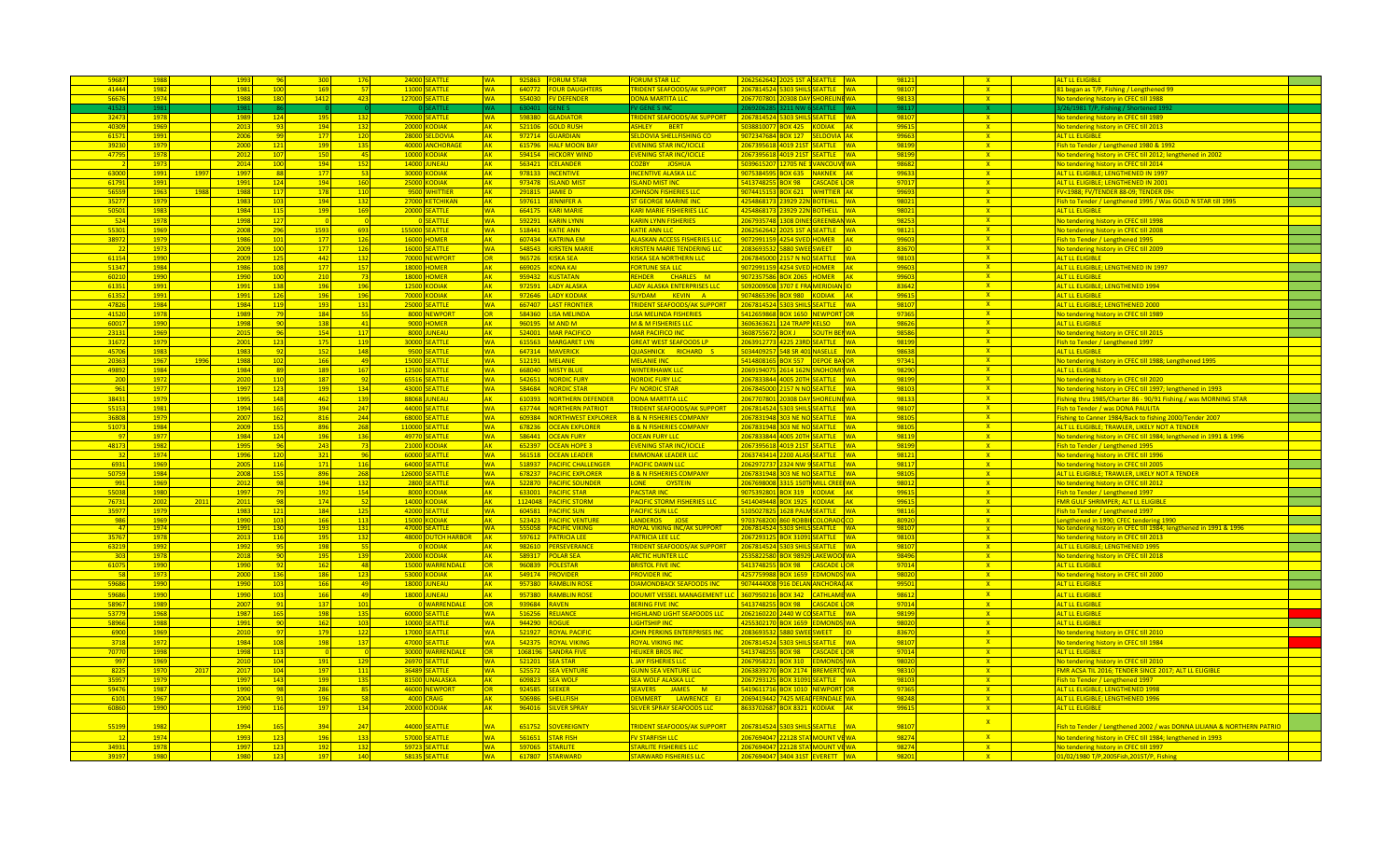|                |              |      | 199                                    |            |                 | 24000 SEATTLE                  | <b>WA</b>              |              | 925863 FORUM STAR                  | <b>DRUM STAR LLC</b>                                               |                                                                     | 9812           |                         | ALT IL FLIGIBLE                                                                    |  |
|----------------|--------------|------|----------------------------------------|------------|-----------------|--------------------------------|------------------------|--------------|------------------------------------|--------------------------------------------------------------------|---------------------------------------------------------------------|----------------|-------------------------|------------------------------------------------------------------------------------|--|
| 4144           | 1982         |      | 1981<br>10                             | 169        |                 | 11000 SEATTLE                  | <b>WA</b>              |              | 640772 FOUR DAUGHTERS              | <b>RIDENT SEAFOODS/AK SUPPORT</b>                                  | 2067814524 5303 SHILS SEATTLE                                       | 9810           | $\mathbf{x}$            | 81 began as T/P, Fishing / Lengthened 99                                           |  |
| 566            | 1974         |      | 1988<br>180                            | 1412       | 423             | 127000 SEATTLE                 | <b>MA</b>              |              | 554030 FV DEFENDER                 | <b>ONA MARTITA LLC</b>                                             | 067707801<br><mark>ס שמת פחצה</mark><br>HORFLI                      | 98133          | X                       | No tendering history in CFEC till 1988                                             |  |
|                |              |      |                                        |            |                 |                                |                        |              |                                    |                                                                    |                                                                     | 9811           |                         | 26/1981 T/P. Fishing /                                                             |  |
| 3247           | 1978         |      | 124<br>1989                            | 195        | 132             | 70000 SEATTLE                  | <b>WA</b>              |              | 598380 GLADIATOR                   | <b>TRIDENT SEAFOODS/AK SUPPORT</b>                                 | 2067814524 5303 SHILS SEATTLE WA                                    | 98107          | $\mathbf{x}$            | No tendering history in CFEC till 1989                                             |  |
|                |              |      |                                        |            |                 |                                |                        |              |                                    |                                                                    |                                                                     |                |                         |                                                                                    |  |
| 4030           | 1969         |      | 2013<br>Q <sub>2</sub>                 | 194        | 132             | 20000 KODIAK                   | <b>AK</b>              |              | $521106$ GOLD RUSH                 | <b>ASHIEY</b> RERT                                                 | 6038810077 ROX 425 KODIAK<br>$\mathbf{A}$                           | 9961           | $\mathbf{x}$            | No tendering history in CEEC till 2013                                             |  |
| 615            | 1991         |      | 200<br><b>OC</b>                       | 177        | 120             | 28000 SELDOVIA                 | <b>AK</b>              |              | 972714 GUARDIAN                    | <b>SELDOVIA SHELLEISHING CO.</b>                                   | 9072347684 BOX 127<br><b>FLDOVIA</b><br>$\mathbf{R}$                | 9966           | $\mathbf{x}$            | AITH FHGIBLE                                                                       |  |
| 392            | 1979         |      | 200<br>$-12$                           | 199        | 135             | 40000 ANCHORA                  | <b>AK</b>              |              | 615796 HALF MOON RAY               | <b>EVENING STAR INC/ICICLE</b>                                     | 2067395618<br>3 4019 21ST<br><b>SEATTLE</b><br><b>MA</b>            | 9819           | $\mathbf{x}$            | Fish to Tender / Lengthened 1980 & 1992                                            |  |
| 4779           | 1978         |      | 2012<br>$\overline{10}$                | 150        | $\overline{45}$ | 10000 KODIAK                   | <b>AK</b>              |              | 594154 HICKORY WIND                | <b>EVENING STAR INC/ICICLE</b>                                     | 2067395619<br>4019 215<br><b>SEATTLE</b><br><b>MA</b>               | 9819           | $\overline{\mathbf{x}}$ | No tendering history in CFEC till 2012; lengthened in 2002                         |  |
|                | 1973         |      | 2014<br>100                            | 194        | 152             | <b>14000 JUNEAU</b>            | <b>AK</b>              | 563421       | <b>ICELANDER</b>                   | <b>OZRY</b><br><b>JOSHUA</b>                                       | 503961520<br><b>2705 NF</b><br><b>VANCOU</b><br><b>MA</b>           | 9868           | $\mathbf{x}$            | No tendering history in CEEC till 2014                                             |  |
|                |              |      |                                        |            |                 | <b>BIAK</b>                    | <b>AK</b>              |              |                                    |                                                                    | 907538459                                                           |                | $-2x$                   | <b>AIT II FLIGIBLE: LENGTHENED IN 1997</b>                                         |  |
| 6300           | 199          | 1997 | 1997                                   | 177        |                 | 30000                          |                        | 978133       | <b>INCENTIVE</b>                   | <b>NCENTIVE ALASKA LLC</b>                                         | OX 635<br><b>IAKNEK</b>                                             | 9963           |                         |                                                                                    |  |
| 6179           | 1991         |      | 1991<br>$-12i$                         | 194        | 16              | 25000<br>KODIAK                | <b>AK</b>              |              | 973478 ISLAND MIST                 | <b>SLAND MIST INC</b>                                              | 541374825<br><b>AP XO</b><br><b>ASCADE</b>                          | 9701           | $-8$                    | ALT LE FLIGIRI E: LENGTHENED IN 2001                                               |  |
| 565            | 1963         | 1988 | 1988<br>$-11$                          | 178        | $-110$          | 9500 WHITTIER                  | <b>AK</b>              | 291815       | <b>IAMIED</b>                      | <b>OHNSON FISHERIES LLC</b>                                        | 907441515<br><b>BOX 621 WHITTIER AK</b>                             | 9969           | $-{\bf x}$              | <b>FV&lt;1988: FV/TENDER 88-09: TENDER 09&lt;</b>                                  |  |
| 3527           | 1979         |      | 1983<br>103                            | 194        | 132             | 27000 KETCHIKAN                | <b>AK</b>              |              | 597611 JENNIFER A                  | <b>T GEORGE MARINE INC</b>                                         | 125486817<br>23929 22N BOTEHLL<br><b>WA</b>                         | 9802           | X                       | Fish to Tender / Lengthened 1995 / Was GOLD N STAR till 1995                       |  |
| 505            | 1983         |      | 1984<br>115                            | 199        | 169             | 20000 SEATTLE                  | <b>WA</b>              |              | 664175 KARI MARIE                  | <b>ARI MARIE FISHIERIES LLC</b>                                    | 1254868173<br>23929 22N BOTHELL                                     | 98021          | X                       | <b>AITH FHGIRLE</b>                                                                |  |
| $-524$         | 1978         |      | 1998<br>127                            |            |                 | 0 SEATTLE                      | <b>WA</b>              | 592291       | <b>KARIN LYNN</b>                  | <b>ARIN LYNN FISHERIES</b>                                         | 2067935748 1308 DINE GREENBAN WA                                    | 9825           | X                       | No tendering history in CFEC till 1998                                             |  |
|                |              |      |                                        |            |                 |                                | <b>WA</b>              |              | 518441 KATIE ANN                   | KATIF ANN I I C                                                    | 025 1ST A SEATTLE<br>062562642                                      |                | X                       | No tendering history in CFEC till 2008                                             |  |
| 55301          | 1969         |      | 2008<br>296                            | 1593       | 693             | 155000 SEATTLE                 |                        |              |                                    |                                                                    | <b>WA</b>                                                           | 98121          |                         |                                                                                    |  |
| 38972          | 1979         |      | 1986<br>101                            | 177        | 126             | 16000 HOMER                    | <b>AK</b>              |              | 607434 KATRINA EM                  | ALASKAN ACCESS FISHERIES LLC                                       | 072991159 4254 SVED HOMER                                           | 9960           | $\mathbf{x}$            | Fish to Tender / Lengthened 1995                                                   |  |
|                | 1973         |      | 200<br>10 <sup>c</sup>                 | 177        | <b>126</b>      | 16000 SEATTLE                  | <b>WA</b>              |              | 548543 KIRSTEN MARIE               | <b>RISTEN MARIE TENDERING LLC</b>                                  | 880 SWEE SWEET<br>083693532                                         | 83670          | $\mathbf{X}$            | No tendering history in CFEC till 2009                                             |  |
| 61154          | 1990         |      | 2009<br>125                            | 442        | 132             | 70000 NEWPORT                  | OR                     | 965726       | <b>KISKA SFA</b>                   | <b>USKA SEA NORTHERN LLC</b>                                       | 2067845000 2157 N NO SEATTLE<br><b>MA</b>                           | 98103          | $X -$                   | <b>ALT LL ELIGIBLE</b>                                                             |  |
| 51347          | 1984         |      | 1986<br>108                            | 177        | 157             | 18000 HOMER                    | <b>AK</b>              |              | 669025 KONA KAI                    | ORTUNE SEA LLC                                                     | 9072991159 4254 SVED HOMER                                          | 99603          | X                       | ALT LL ELIGIBLE; LENGTHENED IN 1997                                                |  |
| 6021           | 1990         |      | 1990<br>100                            | 210        | $-73$           | 18000 HOMER                    | <b>AK</b>              |              | 959432 KUSTATAN                    | REHDER CHARLES M                                                   | 9072357586 BOX 2065 HOMER                                           | 9960           | X                       | <b>ALT LL ELIGIBLE</b>                                                             |  |
| 6135           | 1991         |      | 1991<br>138                            | 196        | 196             | 12500 KODIAK                   | <b>AK</b>              |              | 972591 LADY ALASKA                 | LADY ALASKA ENTERPRISES LLC                                        | 5092009508 3707 E FRA MERIDIAN                                      | 83642          | X                       | ALT LL ELIGIBLE; LENGTHENED 1994                                                   |  |
|                |              |      |                                        |            |                 |                                |                        |              |                                    |                                                                    |                                                                     |                |                         |                                                                                    |  |
| 6135           | 1991         |      | 1991<br>126                            | 196        | 196             | <b>70000 KODIAK</b>            | <b>AK</b>              |              | 972646 LADY KODIAK                 | UYDAM KEVIN A                                                      | 9074865396 BOX 980 KODIAK                                           | 99615          | $X -$                   | ALT LL ELIGIBLE                                                                    |  |
| 47826          | 1984         |      | 1984<br>119                            | 193        | 131             | 25000 SEATTLE                  | <b>WA</b>              |              | 667407 LAST FRONTIER               | <b>TRIDENT SEAFOODS/AK SUPPORT</b>                                 | 2067814524 5303 SHILS SEATTLE                                       | 98107          | X                       | ALT LL ELIGIBLE; LENGTHENED 2000                                                   |  |
| 41520          | 1978         |      | 1989<br>- 79                           | 184        | -55             | 8000 NEWPORT                   | <b>OR</b>              |              | 584360 LISA MELINDA                | <b>ISA MELINDA FISHERIES</b>                                       | 5412659868 BOX 1650 NEWPORT                                         | 97365          | X                       | No tendering history in CFEC till 1989                                             |  |
| 6001           | 1990         |      | 1998<br>$-90$                          | 138        | 41              | 9000 HOMER                     | <b>AK</b>              |              | 960195 M AND M                     | M & M FISHERIES LLC                                                | 8606363621 124 TRAPP KELSO<br><b>WA</b>                             | 98626          | $- X$                   | ALT LL ELIGIBLE                                                                    |  |
| 2313           | 1969         |      | 2015<br>$-96$                          | 154        | 117             | 8000 JUNEAU                    | <b>AK</b>              |              | 524001 MAR PACIFICO                | MAR PACIFICO INC                                                   | 608755672 BOX JACK SOUTH BEI WA                                     | 98586          | X                       | No tendering history in CFEC till 2015                                             |  |
| 3167           | 1979         |      | 2001<br>$-12$                          | 175        | 11 <sup>c</sup> | 30000 SEATTLE                  | <b>WA</b>              |              | 615563 MARGARET LYN                | <b>SREAT WEST SEAFOODS LP</b>                                      | 2063912773 4225 23RD SEATTLE WA                                     | 98199          | $\mathbf{x}$            | Fish to Tender / Lengthened 1997                                                   |  |
| 4570           | 1983         |      | 1983                                   | 152        | 148             | 9500 SEATTLE                   | <b>WA</b>              |              | 647314 MAVERICK                    | QUASHNICK RICHARD S                                                | 034409257 548 SR 401 NASELLE<br><b>WA</b>                           | 98638          | $\mathbf{x}$            | <b>ALT LL ELIGIBLE</b>                                                             |  |
| 2036           | 1967         | 1996 | 1988<br>102                            | 166        | $\overline{49}$ | 15000 SEATTLE                  | <b>WA</b>              |              | 512191 MELANIE                     | <b>MELANIE INC</b>                                                 | 5414808165 BOX 557 DEPOE BAYOR                                      | 97341          | $\mathbf{x}$            | No tendering history in CFEC till 1988; Lengthened 1995                            |  |
|                |              |      |                                        |            |                 |                                |                        |              |                                    |                                                                    |                                                                     |                |                         |                                                                                    |  |
| 4989           | 1984         |      | 1984                                   | 189        | 167             | 12500 SEATTLE                  | <b>WA</b>              |              | 668040 MISTY BLUE                  | <mark>WINTERHAWK LLC</mark>                                        | 2069194075 2614 162N SNOHOMIS WA                                    | 98290          | X                       | AITIL FLIGIBLE                                                                     |  |
|                | 1972         |      | 2020<br>$-11$                          | 187        |                 | 65516 SEATTLE                  | <b>WA</b>              |              | 542651 NORDIC FURY                 | <b>VORDIC FURY LLC</b>                                             | 2067833844 4005 20TH SEATTLE<br><b>MA</b>                           | 98199          | X                       | No tendering history in CFEC till 2020                                             |  |
| 961            | 1977         |      | 1997<br>$-12$                          | 199        | 134             | 43000 SEATTLE                  | <b>WA</b>              |              | 584684 NORDIC STAR                 | V NORDIC STAR                                                      | 2067845000 2157 N NO SEATTLE WA                                     | 9810           | $\mathbf{x}$            | No tendering history in CFEC till 1997; lengthened in 1993                         |  |
| 3843           | 1979         |      | 1995<br>148                            | 462        | 139             | 88068 JUNEAU                   | <b>AK</b>              |              | 610393 NORTHERN DEFENDER           | <b>ONA MARTITA LLC</b>                                             | 2067707801 20308 DAY SHORFLINE WA                                   | 98133          | $\mathbf{x}$            | Fishing thru 1985/Charter 86 - 90/91 Fishing / was MORNING STAR                    |  |
| 5515           | 1981         |      | 16!<br>1994                            | 394        | 247             | 44000 SEATTLE                  | <b>WA</b>              |              | 637744 NORTHERN PATRIOT            | <b>TRIDENT SEAFOODS/AK SUPPORT</b>                                 | 2067814524 5303 SHILS SEATTLE                                       | 9810           | $\mathbf{x}$            | Fish to Tender / was DONA PAULITA                                                  |  |
| 3680           | 1979         |      | 200<br>16 <sup>2</sup>                 | 816        | 244             | 68000 SEATTLE                  | <b>WA</b>              |              | 609384 NORTHWEST EXPLORER          | <b>8 &amp; N FISHERIES COMPANY</b>                                 | 067831948 303 NE NO SEATTLE                                         | 9810           | $\mathbf{x}$            | ishing to Canner 1984/Back to fishing 2000/Tender 2007                             |  |
|                | 1984         |      | 200                                    | 896        | 26              | 110000 SEATTLE                 | <b>WA</b>              | 678236       | <b>OCEAN EXPLORER</b>              | & N FISHERIES COMPANY                                              | 067831948<br>03 NE NO SEATTLE                                       | 9810           | $\mathbf{x}$            | <u>NIT I I FLIGIBLE: TRAWLER, LIKELY NOT A TENDER</u>                              |  |
|                |              |      |                                        |            |                 |                                |                        |              |                                    |                                                                    |                                                                     |                |                         |                                                                                    |  |
|                | 1977         |      | 1984                                   | 196        | 136             | 49770 SEATTLE                  | <b>WA</b>              | 586441       | <b>OCEAN FURY</b>                  | <b>EAN FURY LLO</b>                                                | 167833844                                                           | 9811           | $\mathbf{x}$            | No tendering history in CFEC till 1984; lengthened in 1991 & 1996                  |  |
| 48173          | 1982         |      | 199                                    | 243        |                 | <b>DDIAK</b><br>21000 KC       | <b>AK</b>              | 652397       | OCEAN HOPE 3                       | <b>/ENING STAR INC/ICICLE</b>                                      | 067395618<br><b>FATTI F</b>                                         | 9819           | X                       | Fish to Tender / Lengthened 1995                                                   |  |
|                | 1974         |      | 1996<br>120                            | 321        | $-96$           | 60000 SEATTLE                  | <b>WA</b>              |              | 561518 OCEAN LEADER                | <b>MMONAK LEADER LLC</b>                                           | 063743414 2200 ALAS SEATTLE<br><b>MA</b>                            | 98121          | $X -$                   | No tendering history in CFEC till 1996                                             |  |
| 6931           | 1969         |      | 200 <sup>5</sup><br>116                | 171        | 116             | 64000 SEATTLE                  | <b>WA</b>              |              | 518937 PACIFIC CHALLENGER          | <b>PACIFIC DAWN LLC</b>                                            | 2062972737 2324 NW 9 SEATTLE<br><b>WA</b>                           | 98117          | X                       | No tendering history in CFEC till 2005                                             |  |
| 5075           | 1984         |      | 2008<br>15!                            | 896        | 268             | 126000 SEATTLE                 | <b>WA</b>              |              | 678237 PACIFIC EXPLORER            | <b>B &amp; N FISHERIES COMPANY</b>                                 | <b>2067831948 303 NE NO SEATTLE</b><br><b>MA</b>                    | 98105          | $\mathbf{x}$            | ALT LL ELIGIBLE; TRAWLER, LIKELY NOT A TENDER                                      |  |
| -991           | 1969         |      | 2012<br>- 98                           | 194        | 132             |                                | <b>WA</b>              |              |                                    |                                                                    | 2067698008 3315 150TH MILL CRE                                      |                | $\mathbf{x}$            |                                                                                    |  |
|                |              |      |                                        |            |                 | 2800 SEATTLE                   |                        |              | 522870 PACIFIC SOUNDER             | ONE <b>A</b><br><b>OYSTEIN</b>                                     |                                                                     | 98012          |                         | No tendering history in CFEC till 2012                                             |  |
| 5503           | 1980         |      | 1997<br>79                             | 192        | 154             | 8000 KODIAK                    | <b>AK</b>              |              | 633001 PACIFIC STAR                | <b>PACSTAR INC</b>                                                 | 9075392801 BOX 319 KODIAK                                           | 9961           | $\mathbf{x}$            | <b>Fish to Tender / Lengthened 1997</b>                                            |  |
| 7673           | 2002         | 2011 | 2011<br>Q <sub>R</sub>                 | 174        | 52              | 14000 KODIAK                   | <b>AK</b>              |              | 1124048 PACIFIC STORM              | <b>PACIFIC STORM FISHERIES LLC</b>                                 | 5414049448 BOX 1925<br><b>KODIAK</b>                                | 9961           | $\mathbf{x}$            | <b>FMR GULF SHRIMPER: ALT LL ELIGIBLE</b>                                          |  |
| 3597           | 1979         |      | 1983<br>121                            | 184        | 125             | 42000 SEATTLE                  | <b>WA</b>              |              | 604581 PACIFIC SUN                 | <b>PACIFIC SUN LLC</b>                                             | 5105027825<br>628 PALM SEATTLE                                      | 98116          | X                       | <b>Fish to Tender / Lengthened 1997</b>                                            |  |
| 986            | 1969         |      | 1990<br>10 <sup>3</sup>                | 166        | 113             | 15000 KODIAK                   | <b>AK</b>              |              | 523423 PACIFIC VENTURE             | LANDEROS JOSE                                                      | 9703768200 860 ROBBI COLORADO                                       | 8092           | X                       | Lengthened in 1990; CFEC tendering 1990                                            |  |
|                | 1974         |      | 199                                    | <b>19</b>  | 131             | 47000 SE                       | WA.                    | 555058       | <b>ACIFIC VIKING</b>               | <u>OYAL VIKING INC/AK SUPPORT</u>                                  | 1678145.                                                            | 9810           | <u>x =</u>              | No tendering history in CFEC till 1984; lengthened in 1991 & 1996                  |  |
| 3576           | 1978         |      | 2013<br>11(                            | 195        | 132             | 48000 DUTCH HARBOR             | <b>AK</b>              |              | 597612 PATRICIA LEE                | <b>ATRICIA LEE LLC</b>                                             | 06729312<br>EATTLE                                                  | 9810           | $X =$                   | No tendering history in CFEC till 2013                                             |  |
| 6321           | 1992         |      | 1992<br>95                             | 198        | -55             | 0 KODIAK                       | <b>AK</b>              |              | 982610 PERSEVERANCE                | <b>RIDENT SEAFOODS/AK SUPPORT</b>                                  | 067814524<br>303 SHILS <mark>SEATTLE</mark><br><b>MA</b>            | 9810           | $\mathbf{X}$            | ALT LL ELIGIBLE; LENGTHENED 1995                                                   |  |
| 30             | 1978         |      | 2018<br>$-90$                          | 195        | 139             | <b>DDIAK</b>                   | <b>AK</b>              | 589317       | <b>POLAR SEA</b>                   | <b>RCTIC HUNTER LLO</b>                                            | 35822580 B<br>OX 98929 LAKEWO                                       | 98496          | $X =$                   | No tendering history in CFEC till 2018                                             |  |
|                |              |      |                                        |            |                 | 20000 KC                       |                        |              |                                    |                                                                    |                                                                     |                |                         |                                                                                    |  |
| 6107           | 1990         |      | 1990<br>-92                            | 162        | 48              | 15000 WARRENDALE               | <b>OR</b>              |              | 960839 POLESTAR                    | <b>BRISTOL FIVE INC</b>                                            | 5413748255 BOX 98 CASCADE                                           | 97014          | X                       | <b>ALT LL ELIGIBLE</b>                                                             |  |
|                | 1973         |      | 2000<br>136                            | 186        | 123             | 53000 KODIAK                   | <b>AK</b>              |              | 549174 PROVIDER                    | <b>PROVIDER INC.</b>                                               | 4257759988 BOX 1659 FDMONI<br><b>MA</b>                             | 98026          | $\mathbf{x}$            | No tendering history in CFEC till 2000                                             |  |
| 5968           | 1990         |      | 1990<br>10 <sup>3</sup>                | 166        | 49              | 18000 JUNEAU                   | <b>AK</b>              |              | 957380 RAMBLIN ROS                 | <b>DIAMONDBACK SEAFOODS INC.</b>                                   | 9074444008 916 DELAN ANCHORACAK                                     | 9950           | $\mathbf{x}$            | <b>ALT LL ELIGIBLE</b>                                                             |  |
| 5968           | 1990         |      | 1990<br>10 <sup>3</sup>                | 166        | 49              | <b>18000 JUNEAU</b>            | <b>AK</b>              |              | 957380 RAMBLIN ROSE                | <b>DOUMIT VESSEL MANAGEMENT LI</b>                                 | 607950216 BOX 342 CATHLAME WA                                       | 98612          | $\mathbf{x}$            | <b>ALT LL ELIGIBLE</b>                                                             |  |
| 5896           | 1989         |      | 2007                                   | 137        | 101             | 0 WARRENDALE                   | <b>OR</b>              | 939684 RAVEN |                                    | <b>BERING FIVE INC</b>                                             | 5413748255 BOX 98 CASCADE L                                         | 97014          | X                       | ALT IL FLIGIBLE                                                                    |  |
| 5377           | 1968         |      | 1987<br>16                             | 198        | 135             | 60000 SEATTLE                  | <b>WA</b>              |              | 516256 RELIANCE                    | <b>IGHLAND LIGHT SEAFOODS LLC</b>                                  | 2062160220 2440 W COSEATTLE WA                                      | 9819           | $\mathbf{x}$            | <b>ALT LL ELIGIBLE</b>                                                             |  |
| 5896           | 1988         |      | 1991<br>$-90$                          | 162        | 103             | 10000 SEATTLE                  | <b>WA</b>              | 944290 ROGUE |                                    | <b>IGHTSHIP INC</b>                                                | 1255302170 BOX 1659 EDMOND:<br><b>SMA</b>                           | 9802           | $\mathbf{x}$            | <b>ALT LL ELIGIBLE</b>                                                             |  |
|                |              |      |                                        |            |                 |                                |                        |              |                                    |                                                                    |                                                                     |                |                         |                                                                                    |  |
| 6900           | 1969         |      | 2010<br>$\rightarrow$                  | 179        | 122             | 17000 SEATTLE                  | <b>WA</b>              |              | 521927 ROYAL PACIFIC               | <b>IOHN PERKINS ENTERPRISES INC.</b>                               | 2083693532 5880 SWEE SWEET                                          | 83670          | $\mathbf{x}$            | No tendering history in CFEC till 2010                                             |  |
| 371            | 1972         |      | 108<br>1984                            | 198        | 137             | 47000 SEATTLE                  | <b>WA</b>              | 542375       | <b>ROYAL VIKING</b>                | <b>OYAL VIKING INC</b>                                             | 067814524<br><b>303 SHILS</b><br><b>SEATTLE</b>                     | 9810           | X                       | No tendering history in CFEC till 1984                                             |  |
| 7077           | 1998         |      | 1998<br>113                            |            |                 | 30000<br><b>WARRENDALE</b>     | <b>OR</b>              | 1068196      | SANDRA FIVE                        | <b>IEUKER BROS INC</b>                                             | 41374825<br>OX 98<br>ASCADE                                         | 97014          | $\mathbf{x}$            | AITIL FLIGIBLE                                                                     |  |
| 991            | 1969         |      | 2010<br>104                            | 191        | 129             | 26970 SEATTLE                  | <b>WA</b>              | 521201       | <b>EA STAR</b>                     | <b>JAY FISHERIES LLC</b>                                           | 06795822:<br>OX 310<br><b>DMON</b>                                  | 9802           | $X =$                   | No tendering history in CFEC till 2010                                             |  |
| 822            | 1970         |      | 201<br>10 <sup>4</sup>                 | 197        | 11              | 36489 SEATTLE                  | <b>WA</b>              | 525572       | <b>SEA VENTUR</b>                  | UNN SEA VENTURE LLC                                                | 06383927<br>OX 2174<br><b>BREMER</b>                                | 9831           | <b>X</b>                | MR ACSA TIL 2016; TENDER SINCE 2017; ALT LL ELIGIBLE                               |  |
| 3595           | 1979         |      | 1997<br>143                            | 199        | 135             | 81500 UNALASKA                 | <b>AK</b>              | 609823       | SEA WOLF                           | <b>FA WOLF ALASKA LLO</b>                                          | 06729312<br>าx <del>ว</del> าก<br><b>FATTIF</b>                     | 9810           | X                       | ish to Tender / Lengthened 1997                                                    |  |
| 5947           | 1987         |      | 1990<br>- 98                           | 286        | 85              | 46000 NEWPORT                  | <b>OR</b>              | 924585       | <b>SEEKER</b>                      | EAVERS JAMES M                                                     | 419611716 BOX 1010 NEWPOR                                           | 97365          | $X -$                   | ALT LL ELIGIBLE; LENGTHENED 1998                                                   |  |
|                |              |      |                                        |            |                 |                                |                        |              |                                    |                                                                    |                                                                     |                |                         |                                                                                    |  |
| 610            | 1967         |      | 2004<br>$-91$                          | 196        | 58              | 4000 CRAIG                     | <b>AK</b>              |              | 506986 SHELLFISH                   | EMMERT LAWRENCE EJ                                                 | 2069419442 7425 MEAL FERNDALE WA                                    | 98248          | X                       | ALT LL ELIGIBLE; LENGTHENED 1996                                                   |  |
| 6086           | 1990         |      | 1990<br>116                            | 197        | 134             | 20000 KODIAK                   | <b>AK</b>              |              | 964016 SILVER SPRAY                | <b>SILVER SPRAY SEAFOODS LLC</b>                                   | 8633702687 BOX 8321 KODIAK                                          | 99615          | $\mathbf{x}$            | ALT LL ELIGIBLE                                                                    |  |
|                |              |      |                                        |            |                 |                                |                        |              |                                    |                                                                    |                                                                     |                | $\mathbf{x}$            |                                                                                    |  |
|                |              |      | 1994<br>161                            | 394        | 247             | 44000 SEATTLE                  | <b>WA</b>              | 651752       | <b>SOVEREIGNTY</b>                 | <b>RIDENT SEAFOODS/AK SUPPORT</b>                                  | 2067814524 5303 SHILS SEATTLE                                       | 9810           |                         | Fish to Tender / Lengthened 2002 / was DONNA LILIANA & NORTHERN PATRIO             |  |
| 55199          | 1982         |      |                                        |            |                 |                                |                        |              |                                    |                                                                    |                                                                     |                |                         |                                                                                    |  |
| $-12$          |              |      |                                        |            |                 |                                |                        |              |                                    |                                                                    |                                                                     |                | $\mathbf{x}$            |                                                                                    |  |
|                | 1974         |      | 1993<br>123                            | 196        | 133             | 57000 SEATTLE                  | <b>WA</b>              | 561651       | <b>STAR FISH</b>                   | <b>EV STARFISH LLC</b>                                             | 2067694047 22128 STATMOUNT VE WA                                    | 98274          |                         | No tendering history in CFEC till 1984; lengthened in 1993                         |  |
| 34931<br>39197 | 1978<br>1980 |      | 1997<br>12 <sup>1</sup><br>1980<br>123 | 192<br>197 | 132<br>140      | 59723 SEATTLE<br>58135 SEATTLE | <b>WA</b><br><b>WA</b> |              | 597065 STARLITE<br>617807 STARWARD | <b>STARLITE FISHERIES LLC.</b><br><b>STARWARD FISHERIES LLC 12</b> | 2067694047 22128 STATMOUNT VE WA<br>2067694047 3404 31ST EVERETT WA | 98274<br>98201 | $\mathbf{x}$<br>X       | No tendering history in CFEC till 1997<br>01/02/1980 T/P.2005Fish.2015T/P. Fishing |  |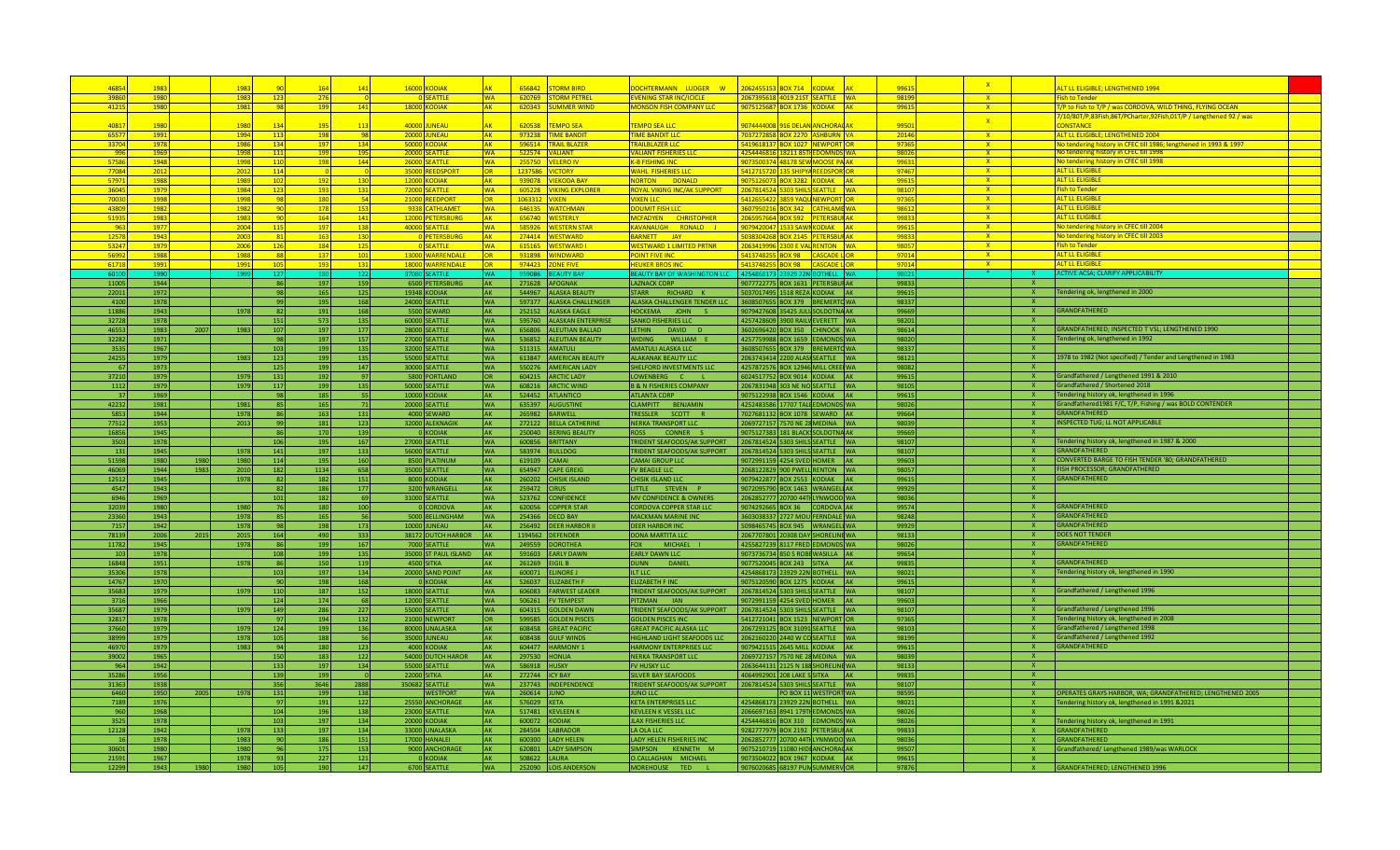| 4685            |              |      | 1983         |            |            |            | 16000 KODIAK         |                        | 656842         | <b>STORM RIRD</b>                        | OCHTERMANN LUDGER W                               | 062455153 BOX 714             | <b>KODIAK</b>                                                    | 9961           | $\mathbf{x}$ |                          | LT LL ELIGIBLE: LENGTHENED 1994                                                                      |  |
|-----------------|--------------|------|--------------|------------|------------|------------|----------------------|------------------------|----------------|------------------------------------------|---------------------------------------------------|-------------------------------|------------------------------------------------------------------|----------------|--------------|--------------------------|------------------------------------------------------------------------------------------------------|--|
| 3986            | 1980         |      | 1983         | 123        | 276        |            | 0 SEATTLE            | <b>WA</b>              |                | 620769 STORM PETREL                      | VENING STAR INC/ICICLE                            |                               | 2067395618 4019 21ST SEATTLE WA                                  | 98199          | $\mathbf{x}$ |                          | <b>Fish to Tender</b>                                                                                |  |
| 4121            | 1980         |      | 1981         | <b>QS</b>  | 199        | 141        | <b>18000 KODIAK</b>  | <b>AK</b>              |                | 620343 SUMMER WIND                       | <b>MONSON FISH COMPANY LLC</b>                    |                               | 9075125687 BOX 1736 KODIAK AK                                    | 9961           | $\mathbf{x}$ |                          | T/P to Fish to T/P / was CORDOVA, WILD THING, FLYING OCEAN                                           |  |
|                 |              |      |              |            |            |            |                      |                        |                |                                          |                                                   |                               |                                                                  |                |              |                          | 7/10/80T/P,83Fish,86T/PCharter,92Fish,01T/P / Lengthened 92 / was                                    |  |
| 4081            | 1980         |      | 1980         | 13         |            | 11         | 40000 JUNEAU         |                        | 620538         | <b>TEMPO SEA</b>                         | <b>EMPO SEA LLC</b>                               | 9074444008 916 DELAN ANCHORA  |                                                                  | 9950           | X            |                          | CONSTANCE                                                                                            |  |
| 6557            | 1991         |      | 1994         | $-11$      | 198        | $-98$      | <b>20000 JUNEAU</b>  | <b>AK</b>              |                | 973238 TIME BANDIT                       | <b>TIME BANDIT LLC</b>                            |                               | 7037272858 BOX 2270 ASHBURN VA                                   | 20146          | $\mathbf{x}$ |                          | ALT LL ELIGIBLE; LENGTHENED 2004                                                                     |  |
| 3370            | 1978         |      | 1986         | $-13$      | 197        | 134        | 50000 KODIAK         | <b>AK</b>              |                | 596514 TRAIL BLAZER                      | <b>TRAILBLAZER LLC</b>                            |                               | <b>5419618137 BOX 1027 NEWPORT OR</b>                            | 9736           | $\mathbf{x}$ |                          | No tendering history in CFEC till 1986; lengthened in 1993 & 1997                                    |  |
| <b>DP</b>       | 1969         |      | $-1998$      | 11         | 199        | 195        | 20000 SEATTLE        | <b>WA</b>              |                | 522574 VALIANT                           | ALIANT FISHERIES LLC                              |                               | 4254446816 18211 85TH EDOMNDS WA                                 | 98021          | $-{\bf X}$   |                          | No tendering history in CFEC till 1998                                                               |  |
| 5758            | 1948         |      | 1998         | 110        | <b>198</b> | 144        | 26000 SEATTLE        | <b>WA</b>              |                | 255750 VELERO IV                         | <b>GB FISHING INC.</b>                            |                               | 9073500374 48178 SEW MOOSE PA AK                                 | 99631          | <u>x =</u>   |                          | No tendering history in CFEC till 1998                                                               |  |
| 77084           | 2012         |      | 2012         | <b>114</b> |            |            | 35000 REEDSPORT      | OR                     |                | 1237586 VICTORY                          | <b><i>NAHL FISHERIES LLC</i></b>                  |                               | 5412715720 135 SHIPYA REEDSPOR OR                                | 97467          | $X =$        |                          | ALT IL FLIGIBLE                                                                                      |  |
| 5797            | 1988         |      | 1989         | 102        | 192        | 130        | 12000 KODIAK         | <b>AK</b>              |                | 939078 VIEKODA BAY                       | <b>DONALD</b><br><b>JORTON</b>                    | 075126073 BOX 3282 KODIAK     |                                                                  | 9961           | $X =$        |                          | ALT IL FLIGIBLE                                                                                      |  |
| 3604            | 1979         |      | 1984         | 123        | 193        | 131        | 72000 SEATTLE        | <b>WA</b>              |                | 605228 VIKING EXPLORER                   | OYAL VIKING INC/AK SUPPORT                        | 2067814524 5303 SHILS SEATTLE |                                                                  | 9810           | $X =$        |                          | <b>Fish to Tender</b>                                                                                |  |
| 7003            | 1998         |      | 1998         | -98        | 180        | -54        | 21000 REEDPORT       | <b>OR</b>              | 1063312 VIXEN  |                                          | <b>IXEN LLC</b>                                   | 3412655422 3859 YAQL NEWPOR   |                                                                  | 9736           | $X -$        |                          | <b>ALT LL ELIGIBLE</b>                                                                               |  |
| 4380            | 1982         |      | 1982         | -90        | 178        | 153        | 9338 CATHLAMET       | <b>WA</b>              |                | 646135 WATCHMAN                          | <b>OUMIT FISH LLC</b>                             |                               | 8607950216 BOX 342 CATHLAME WA                                   | 98612          | $X -$        |                          | <b>ALT LL ELIGIBLI</b>                                                                               |  |
| 5193            | 1983         |      | 1983         | -90        | 164        | 141        | 12000 PETERSBURG     | <b>AK</b>              |                | 656740 WESTERLY                          | <b>MCFADYEN CHRISTOPHER</b>                       |                               | 2065957664 BOX 592 PETERSBUI AK                                  | 99833          | X            |                          | <b>ALT LL ELIGIBLE</b>                                                                               |  |
| -96             | 1977         |      | 2004         | 11         | 197        | 138        | 40000 SEATTLE        | <b>WA</b>              |                | 585926 WESTERN STAR                      | AVANAUGH RONALD J                                 | 9079420047 1533 SAWI KODIAK   |                                                                  | 99615          | X            |                          | No tendering history in CFEC till 2004                                                               |  |
| 1257            | 1943         |      | 2003         | $-81$      | 163        | 130        | O PETERSBURG         | <b>AK</b>              |                | 274414 WESTWARD                          | BARNETT JAY                                       |                               | 6038304268 BOX 2145 PETERSBUI AK                                 | 99833          | $\mathbf{X}$ |                          | No tendering history in CFEC till 2003                                                               |  |
| 5324            | 1979         |      | 2006         | <b>126</b> | 184        | 125        | 0 SEATTLE            | <b>WA</b>              |                | 615165 WESTWARD I                        | <b>WESTWARD 1 LIMITED PRTNR</b>                   | 2063419996 2300 E VAL RENTON  | <b>WA</b>                                                        | 98057          | $\mathbf{X}$ |                          | <b>Fish to Tender</b>                                                                                |  |
| 5699            | 1988         |      | 1988         | -88        | 137        | 101        | 13000 WARRENDALE     | <b>OR</b>              |                | 931898 WINDWARD                          | <b>OINT FIVE INC</b>                              |                               | 5413748255 BOX 98 CASCADE LOR                                    | 97014          | $\mathbf{x}$ |                          | <b>ALT LL ELIGIBLE</b>                                                                               |  |
| 6171            | 1991         |      | 1991         | 105        | 193        | 131        | 18000 WARRENDALE     | <b>OR</b>              |                | 974423 ZONE FIVE                         | <b>HELIKER BROS ING</b>                           |                               | 5413748255 BOX 98 CASCADE LOR                                    | 97014          | $\mathbf{x}$ |                          | <b>AITIL FLIGIBLE</b>                                                                                |  |
|                 | 1990         |      |              | 127        | 180        | 122        | 37080 SEATTLE        | WΔ.                    |                | 959086 REALITY RAY                       | <b>REALITY RAY OF WAS</b>                         | 4254868173                    | וותרר ברבב<br><b>ROTHELL</b>                                     | 9802           |              | x                        | <b>ACTIVE ACSA: CLARIFY APPLICABILITY</b>                                                            |  |
| 11005           | 1944         |      |              | 86         | 197        | 159        | 6500 PETERSBURG      | AK                     |                | 271628 AFOGNAK                           | <b>AZNACK CORP</b>                                |                               | 9077722775 BOX 1631 PETERSBUI AK                                 | 99833          |              | $\mathbf{x}$             |                                                                                                      |  |
| 22011           | 1972         |      |              | 98         | 165        | 125        | 19348 KODIAK         | <b>AK</b>              |                | 544967 ALASKA BEAUTY                     | RICHARD K<br><b>STARR</b>                         |                               | 5037017495 1518 REZA KODIAK AK                                   | 99615          |              | $\mathbf{x}$             | Tendering ok, lengthened in 2000                                                                     |  |
| 4100            | 1978         |      |              | 99         | 195        | 168        | 24000 SEATTLE        | <b>WA</b>              |                | 597377 ALASKA CHALLENGER                 | ALASKA CHALLENGER TENDER LLC                      |                               | 3608507655 BOX 379 BREMERTOWA                                    | 98337          |              | $\mathbf{x}$             |                                                                                                      |  |
| 11886           | 1943         |      | 1978         | 82         | 191        | 168        | 5500 SEWARD          | AK                     |                | 252152 ALASKA EAGLE                      | <b>HOCKEMA</b><br><b>JOHN</b>                     | 9079427608                    | 5425 JULI SOLDOTNA AK                                            | 99669          |              | <b>X</b>                 | <b>GRANDFATHERED</b>                                                                                 |  |
| 32728           | 1978         |      |              |            | 573        | 135        | 60000 SEATTLE        | <b>WA</b>              |                | 595760 ALASKAN ENTERPRISE                | SANKO FISHERIES LLC                               | 4257428609                    | 900 RAILV EVERETT WA                                             | 98201          |              | <b>X</b>                 |                                                                                                      |  |
| 4655            | 1983         | 2007 | 1983         | 151<br>107 | 197        | 177        |                      | <b>WA</b>              |                | 656806 ALEUTIAN BALLAD                   | LETHIN<br>DAVID D                                 |                               | 3602696420 BOX 350 CHINOOK WA                                    | 98614          |              | <b>X</b>                 | GRANDFATHERED; INSPECTED T VSL; LENGTHENED 1990                                                      |  |
|                 | 1971         |      |              |            | 197        | 157        | 28000 SEATTLE        | <b>WA</b>              |                | 536852 ALEUTIAN BEAUTY                   | WIDING<br>WILLIAM                                 |                               | BOX 1659 EDMONDS WA                                              | 98020          |              | <b>X</b>                 |                                                                                                      |  |
| 32282           | 1967         |      |              | 98         | 199        | 135        | 27000 SEATTLE        | <b>WA</b>              |                |                                          | <b>AMATULI ALASKA LLC</b>                         | 4257759988                    | 3608507655 BOX 379 BREMERTO WA                                   | 98337          |              | - X                      | Tendering ok, lengthened in 1992                                                                     |  |
| 353             |              |      |              | 103        | 199        |            | 32000 SEATTLE        | <b>WA</b>              |                | 511315 AMATULI<br>613847 AMERICAN BEAUTY | <b>ALAKANAK BEAUTY LLC</b>                        |                               | 2063743414 2200 ALAS SEATTLE WA                                  | 98121          |              | - X                      |                                                                                                      |  |
| 24255           | 1979         |      | 1983         | 123        |            | 135        | 55000 SEATTLE        | <b>WA</b>              |                | 550276 AMERICAN LADY                     | <b>HELFORD INVESTMENTS LLC</b>                    |                               |                                                                  | 98082          |              | <b>X</b>                 | 1978 to 1982 (Not specified) / Tender and Lengthened in 1983                                         |  |
| - 67            | 1973         |      |              | 125        | 199        | 147        | 30000 SEATTLE        |                        |                | 604215 ARCTIC LADY                       |                                                   |                               | 4257872576 BOX 12946 MILL CREE WA                                |                |              | <b>X</b>                 | Grandfathered / Lengthened 1991 & 2010                                                               |  |
| 37210<br>1112   | 1979         |      | 1979         | 131        | 192        | 97         | 5800 PORTLAND        | <b>OR</b><br><b>WA</b> |                | 608216 ARCTIC WIND                       | LOWENBERG C<br><b>B &amp; N FISHERIES COMPANY</b> | 6024517752 BOX 9014 KODIAK    | <b>IAK</b>                                                       | 99615<br>98105 |              | $\mathbf{x}$             | Grandfathered / Shortened 2018                                                                       |  |
|                 | 1979<br>1969 |      | 1979         | 117        | 199        | 135<br>-55 | 50000 SEATTLE        |                        |                | 524452 $ATI ANTICO$                      | ΔΤΙ ΔΝΤΑ ΓΩΡΡ                                     |                               | 2067831948 303 NE NO SEATTLE WA<br>9075122938 BOX 1546 KODIAK AK | 99615          |              |                          |                                                                                                      |  |
| -37             |              |      |              | - 98       | 185<br>165 |            | 10000 KODIAK         | <b>AK</b>              |                |                                          |                                                   |                               |                                                                  |                |              | <b>X</b><br>$\mathbf{x}$ | Tendering history ok, lengthened in 1996<br>Grandfathered1981 F/C, T/P, Fishing / was BOLD CONTENDER |  |
| 42232<br>5853   | 1981<br>1944 |      | 1981<br>1978 | 85         | 163        | 71<br>131  | 20000 SEATTLE        | <b>WA</b><br><b>AK</b> |                | 635397 AUGUSTINE<br>265982 BARWELL       | CLAMPITT BENJAMIN<br><b>TRESSLER</b>              |                               | 4252483586 17707 TALLEDMONDS WA                                  | 98026<br>99664 |              | $\mathbf{x}$             | <b>GRANDFATHERED</b>                                                                                 |  |
|                 |              |      | 2013         | 86         | 181        | 123        | 4000 SEWARD          |                        |                | 272122 BELLA CATHERINI                   | SCOTT R                                           | 7027681132 BOX 1078 SEWARD    |                                                                  | 98039          |              | $\mathbf{x}$             | INSPECTED TUG; LL NOT APPLICABLE                                                                     |  |
| 77512<br>16856  | 1953         |      |              | 99         | 170        | 139        | 32000 ALEKNAGII      | AK                     |                |                                          | <b>NERKA TRANSPORT LLC</b>                        | 2069727157                    | 570 NE 28 MEDINA WA                                              | 99669          |              |                          |                                                                                                      |  |
|                 | 1945         |      |              | 86         |            |            | 0 KODIAK             | <b>AK</b>              |                | 250040 BERING BEAUTY                     | <b>ROSS</b><br>CONNER 9                           |                               | 9075127383 181 BLACK SOLDOTNA AK                                 |                |              | $\mathbf{x}$             |                                                                                                      |  |
| 350             | 1978         |      |              | 106        | 195        | 167        | 27000 SEATTLE        | <b>WA</b>              |                | 600856 BRITTANY                          | TRIDENT SEAFOODS/AK SUPPORT                       | 2067814524                    | 303 SHILS SEATTLE<br><b>IWA</b>                                  | 98107          |              | <b>X</b>                 | Tendering history ok, lengthened in 1987 & 2000                                                      |  |
| 13'             | 1945         |      | 1978         | 141        | 197        | 133        | 56000 SEATTLE        | <b>WA</b>              |                | 583974 BULLDOG                           | TRIDENT SEAFOODS/AK SUPPORT                       | 2067814524                    | 303 SHILS SEATTLE<br><b>IWA</b>                                  | 98107          |              | <b>X</b>                 | <b>GRANDFATHERED</b>                                                                                 |  |
| 51598           | 1980         | 1980 | 1980         | 114        | 195        | 160        | 8500 PLATINUM        | <b>AK</b>              | 619109 CAMAI   |                                          | CAMALGROUP LLC                                    | 9072991159 4254 SVED HOMER    |                                                                  | 99603          |              | X.                       | CONVERTED BARGE TO FISH TENDER '80; GRANDFATHERED                                                    |  |
| 46069           | 1944         | 1983 | 2010         | 182        | 1134       | 658        | 35000 SEATTLE        | <b>WA</b>              |                | 654947 CAPE GREIG                        | <b>FV BEAGLE LLC</b>                              | 2068122829 900 PWELL RENTON   | <b>IWA</b>                                                       | 98057          |              | X                        | FISH PROCESSOR; GRANDFATHERED                                                                        |  |
| 12512           | 1945         |      | 1978         | - 82       | 182        | 151        | 8000 KODIAK          | <b>AK</b>              |                | 260202 CHISIK ISLAND                     | CHISIK ISLAND LL                                  | 9079422877 BOX 2553 KODIAK    |                                                                  | 99615          |              | <b>X</b>                 | <b>GRANDFATHERED</b>                                                                                 |  |
| 4547            | 1943         |      |              | - 82       | 186        | 177        | 3200 WRANGEL         | <b>AK</b>              | 259472 CIRUS   |                                          | LITTLE STEVEN P                                   |                               | 9072095790 BOX 1463 WRANGELI AK                                  | 99929          |              | <b>X</b>                 |                                                                                                      |  |
| 6946            | 1969         |      |              | 101        | 182        | 69         | 31000 SEATTLE        | <b>WA</b>              |                | 523762 CONFIDENCE                        | <b>MV CONFIDENCE &amp; OWNERS</b>                 |                               | 2062852777 20700 44TLYNWOOD WA                                   | 98036          |              | <b>X</b>                 |                                                                                                      |  |
| 32039           | 1980         |      | 1980         | - 76       | 180        | 100        | 0 CORDOVA            | <b>AK</b>              |                | 620056 COPPER STAR                       | <b>CORDOVA COPPER STAR LLC</b>                    |                               | 9074292665 BOX 36 CORDOVA AK                                     | 99574          |              | $\mathbf{x}$             | <b>GRANDFATHERED</b>                                                                                 |  |
| 23360           | 1943         |      | 1978         | 85         | 165        | 56         | 5000 BELLINGHAM      | <b>WA</b>              |                | 254366 DECO BAY                          | MACKMAN MARINE IN                                 |                               | 3603038337 2727 MOU FERNDALE WA                                  | 98248          |              | $\mathbf{x}$             | <b>GRANDFATHERED</b>                                                                                 |  |
| 7157            | 1942         |      | 1978         | 98         | 198        | 173        | 10000 JUNEAU         | <b>AK</b>              |                | 256492 DEER HARBOR                       | DEER HARBOR INC                                   |                               | 5098465745 BOX 945 WRANGEL WA                                    | 99929          |              | $\mathbf{x}$             | GRANDFATHERED                                                                                        |  |
| 78139           | 2006         | 2015 | 2015         | 164        | 490        | 333        | 38172 DUTCH HARBOR   | <b>AK</b>              |                | 1194562 DEFENDER                         | DONA MARTITA I H                                  |                               | 2067707801 20308 DAY SHORELINE WA                                | 98133          |              | $\mathbf{x}$             | DOES NOT TENDER                                                                                      |  |
| 11782           | 1945         |      | 1978         | 86         | 199        | 167        | 7000 SEATTLE         | <b>WA</b>              |                | 249559 DOROTHEA                          | MICHAEL<br><b>FOX</b>                             |                               | 4255827239 8117 FRED EDMONDS WA                                  | 98026          |              | $\mathbf{x}$             | GRANDFATHERED                                                                                        |  |
| 10 <sub>i</sub> | 1978         |      |              | 108        | 199        | 135        | 35000 ST PAUL ISLAND | <b>AK</b>              |                | 591603 EARLY DAWN                        | <b>EARLY DAWN LLC</b>                             | 9073736734 850 S ROBI WASILLA |                                                                  | 99654          |              | $\mathbf{x}$             |                                                                                                      |  |
| 16848           | 1951         |      | 1978         | 86         | 150        | 119        | 4500 SITKA           | <b>AK</b>              |                | 261269 EIGIL B                           | DANIEL<br><b>DUNN</b>                             | 9077520045 BOX 243 SITKA      |                                                                  | 99835          |              | <b>X</b>                 | GRANDFATHERED                                                                                        |  |
| 35306           | 1978         |      |              | 103        | 197        | 134        | 20000 SAND POINT     | <b>AK</b>              |                | 600071 ELINORE J                         | LT LLC                                            | 4254868173 23929 22N BOTHELL  | <b>IWA</b>                                                       | 98021          |              | <b>X</b>                 | Tendering history ok, lengthened in 1990                                                             |  |
| 14767           | 1970         |      |              | - 90       | 198        | 168        | 0 KODIAK             | <b>AK</b>              |                | 526037 ELIZABETH F                       | <b>FLIZABETH FINC</b>                             | 9075120590 BOX 1275 KODIAK    |                                                                  | 99615          |              | - X                      |                                                                                                      |  |
| 35683           | 1979         |      | 1979         | 110        | 187        | 152        | 18000 SEATTLE        | <b>WA</b>              |                | 606083 FARWEST LEADER                    | TRIDENT SEAFOODS/AK SUPPORT                       | 2067814524 5303 SHILS SEATTLE | <b>IWA</b>                                                       | 98107          |              | <b>X</b>                 | Grandfathered / Lengthened 1996                                                                      |  |
| 3716            | 1966         |      |              | 124        | 174        | 68         | 12000 SEATTLE        | <b>WA</b>              |                | 506261 FV TEMPEST                        | PITZMAN IAN                                       | 9072991159 4254 SVED HOMER    |                                                                  | 99603          |              | <b>X</b>                 |                                                                                                      |  |
| 35687           | 1979         |      | 1979         | 149        | 286        | 227        | 55000 SEATTLE        | <b>WA</b>              |                | 604315 GOLDEN DAWN                       | TRIDENT SEAFOODS/AK SUPPORT                       | 2067814524 5303 SHILS SEATTLE | <b>IWA</b>                                                       | 98107          |              | $\mathbf{x}$             | Grandfathered / Lengthened 1996                                                                      |  |
| 32817           | 1978         |      |              | - 97       | 194        | 132        | 21000 NEWPORT        | IOR I                  |                | 599585 GOLDEN PISCES                     | GOLDEN PISCES INC                                 |                               | 5412721041 BOX 1523 NEWPORT OR                                   | 97365          |              | $\mathbf{x}$             | Tendering history ok, lengthened in 2008                                                             |  |
| 37660           | 1979         |      | 1979         | 124        | 199        | 136        | 80000 UNALASKA       | <b>AK</b>              |                | 608458 GREAT PACIFIC                     | <b>SREAT PACIFIC ALASKA LLC</b>                   | 2067293125 BOX 31091 SEATTLE  | <b>IMA</b>                                                       | 98103          |              | $\mathbf{x}$             | Grandfathered / Lengthened 1998                                                                      |  |
| 38999           | 1979         |      | 1978         | 105        | 188        | 56         | 35000 JUNEAU         | <b>AK</b>              |                | 608438 GULF WINDS                        | <b>IIGHLAND LIGHT SEAFOODS LLO</b>                | 2062160220 2440 W CO SEATTLE  | <b>IMA</b>                                                       | 98199          |              | $\mathbf{x}$             | Grandfathered / Lengthened 1992                                                                      |  |
| 46970           | 1979         |      | 1983         | 94         | 180        | 123        | 4000 KODIAK          | AK                     |                | 604477 HARMONY 1                         | <b>HARMONY ENTERPRISES LLC</b>                    | 9079421515 2645 MILL KODIAK   |                                                                  | 99615          |              | $\mathbf{x}$             | GRANDFATHERED                                                                                        |  |
| 39002           | 1965         |      |              | 150        | 183        | 122        | 54000 DUTCH HAROR    | AK                     |                | 297530 HONUA                             | <b>NERKA TRANSPORT LLC</b>                        | 2069727157 7                  | 570 NE 28 MEDINA<br><b>IWA</b>                                   | 98039          |              | $\mathbf{x}$             |                                                                                                      |  |
| 964             | 1942         |      |              | 133        | 197        | 134        | 55000 SEATTLE        | <b>WA</b>              | 586918 HUSKY   |                                          | <b>FV HUSKY LLC</b>                               |                               | 2063644131 2125 N 188 SHORELINE WA                               | 98133          |              | <b>X</b>                 |                                                                                                      |  |
| 35286           | 1956         |      |              | 139        | 199        |            | <b>22000 SITKA</b>   | AK                     | 272744 ICY BAY |                                          | <b>ILVER BAY SEAFOODS</b>                         | 4064992901 208 LAKE S SITKA   | <b>AK</b>                                                        | 99835          |              | <b>X</b>                 |                                                                                                      |  |
| 31363           | 1938         |      |              | 356        | 3646       | 2888       | 350682 SEATTLE       | <b>WA</b>              |                | 237743 INDEPENDENCE                      | <b>TRIDENT SEAFOODS/AK SUPPORT</b>                | 2067814524 5303 SHILS SEATTLE | <b>WA</b>                                                        | 98107          |              | X.                       |                                                                                                      |  |
| 6460            | 1950         | 2005 | 1978         | 131        | 199        | 138        | <b>WESTPORT</b>      | <b>WA</b>              | 260614 JUNO    |                                          | <b>UNO LLC</b>                                    |                               | PO BOX 11 WESTPORT WA                                            | 98595          |              | X.                       | OPERATES GRAYS HARBOR, WA; GRANDFATHERED; LENGTHENED 2005                                            |  |
| 7189            | 1976         |      |              | 97         | 191        | 122        | 25550 ANCHORAGI      | <b>AK</b>              | 576029 KETA    |                                          | <b>KETA ENTERPRISES LLC</b>                       |                               | 4254868173 23929 22N BOTHELL WA                                  | 98021          |              | X.                       | Tendering history ok, lengthened in 1991 & 2021                                                      |  |
| 960             | 1968         |      |              | 104        | 196        | 138        | 23000 SEATTLE        | <b>WA</b>              |                | 517481 KEVLEEN K                         | KEVLEEN K VESSEL LLC                              |                               | 2066697163 8941 179TLEDMONDS WA                                  | 98026          |              | $\mathsf{x}$             |                                                                                                      |  |
| 3525            | 1978         |      |              | 103        | 197        | 134        | 20000 KODIAK         | <b>AK</b>              | 600072 KODIAK  |                                          | <b>JLAX FISHERIES LLC</b>                         |                               | 4254446816 BOX 310 EDMONDS WA                                    | 98026          |              | $\mathbf{x}$             | Tendering history ok, lengthened in 1991                                                             |  |
| 12128           | 1942         |      | 1978         | 133        | 197        | 134        | 33000 UNALASKA       | <b>AK</b>              |                | 284504 LABRADOR                          | LA OLA LLC                                        |                               | 9282777979 BOX 2192 PETERSBUI AK                                 | 99833          |              | $\mathbf{x}$             | <b>GRANDFATHERED</b>                                                                                 |  |
|                 | 1978         |      | 1983         | 90         | 186        | 151        | 17000 HANALEI        | <b>AK</b>              |                | 600300 LADY HELEN                        | LADY HELEN FISHERIES INC                          |                               | 2062852777 20700 44TI LYNNWOO WA                                 | 98036          |              | $\mathbf{x}$             | <b>GRANDFATHERED</b>                                                                                 |  |
| $3060^{\circ}$  | 1980         |      | 1980         | 96         | 175        | 153        | 9000 ANCHORAGI       | <b>AK</b>              |                | 620801 LADY SIMPSON                      | SIMPSON KENNETH M                                 |                               | 9075210719 11080 HIDI ANCHORAC AK                                | 99507          |              | $\mathbf{x}$             | Grandfathered/ Lengthened 1989/was WARLOCK                                                           |  |
| 21591           | 1967         |      | 1978         | $-93$      | 227        | 121        | <b>O</b> KODIAK      | AK                     | 508622 LAURA   |                                          | O.CALLAGHAN MICHAEL                               |                               | 9073504022 BOX 1967 KODIAK AK                                    | 99615          |              | <b>X</b>                 |                                                                                                      |  |
| 12299           | 1943         | 1980 | 1980         | 105        | 190        | 147        | 6700 SEATTLE         | <b>WA</b>              |                | 252090 LOIS ANDERSON                     | <b>MOREHOUSE</b><br>TED <sub>1</sub>              |                               | 9076020685 68197 PUN SUMMERV OR                                  | 97876          |              | $X =$                    | <b>GRANDFATHERED; LENGTHENED 1996</b>                                                                |  |